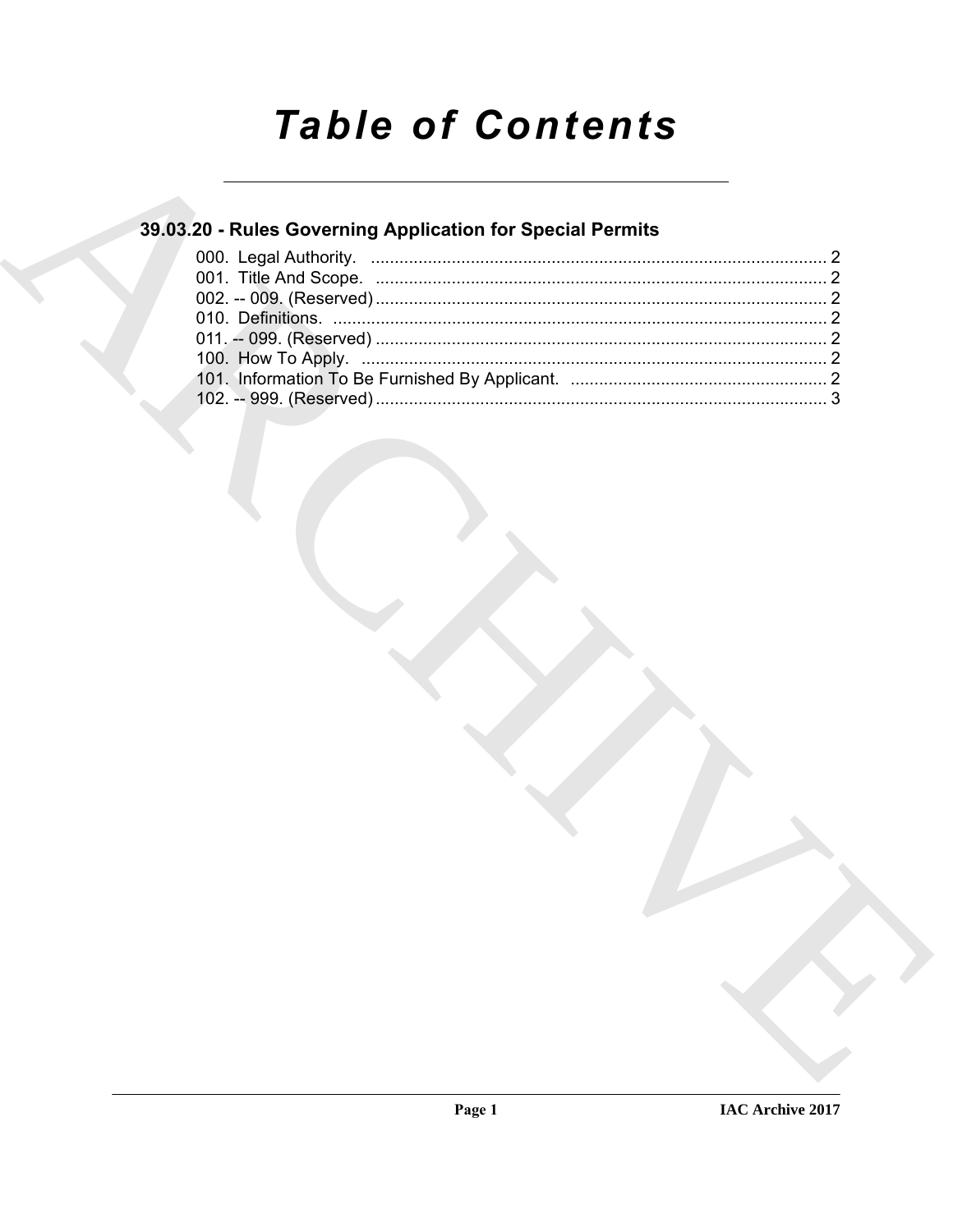# **Table of Contents**

### 39.03.20 - Rules Governing Application for Special Permits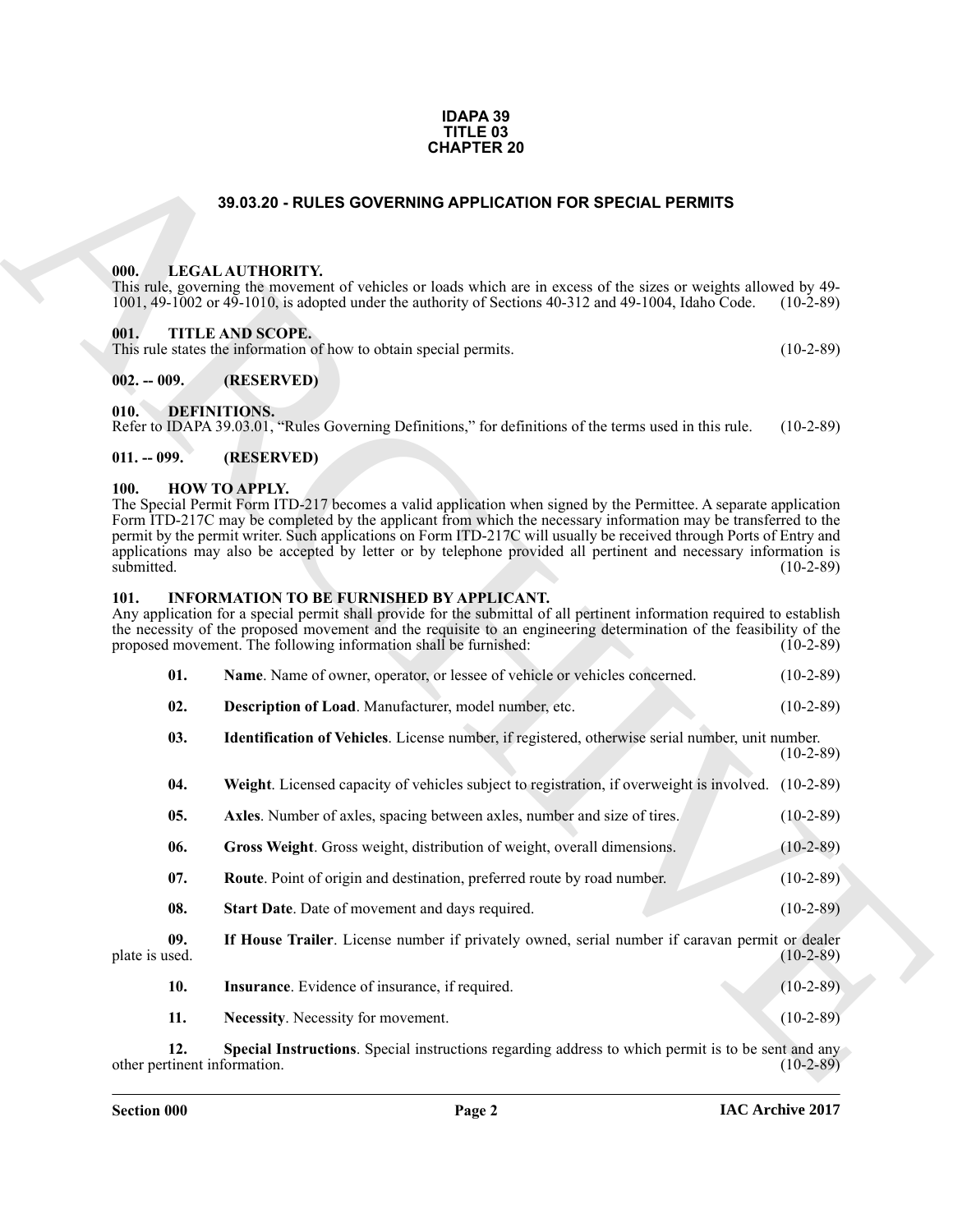#### **IDAPA 39 TITLE 03 CHAPTER 20**

#### **39.03.20 - RULES GOVERNING APPLICATION FOR SPECIAL PERMITS**

#### <span id="page-1-1"></span><span id="page-1-0"></span>**000. LEGAL AUTHORITY.**

#### <span id="page-1-2"></span>**001. TITLE AND SCOPE.**

#### <span id="page-1-8"></span><span id="page-1-4"></span><span id="page-1-3"></span>**002. -- 009. (RESERVED)**

#### <span id="page-1-5"></span>**011. -- 099. (RESERVED)**

#### <span id="page-1-9"></span><span id="page-1-6"></span>**100. HOW TO APPLY.**

#### <span id="page-1-10"></span><span id="page-1-7"></span>**101. INFORMATION TO BE FURNISHED BY APPLICANT.**

<span id="page-1-22"></span><span id="page-1-21"></span><span id="page-1-20"></span><span id="page-1-19"></span><span id="page-1-18"></span><span id="page-1-17"></span><span id="page-1-16"></span><span id="page-1-15"></span><span id="page-1-14"></span><span id="page-1-13"></span><span id="page-1-12"></span><span id="page-1-11"></span>

|     | Name. Name of owner, operator, or lessee of vehicle or vehicles concerned. | $(10-2-89)$ |
|-----|----------------------------------------------------------------------------|-------------|
| 02. | Description of Load. Manufacturer, model number, etc.                      | $(10-2-89)$ |
|     | .                                                                          |             |

| <b>CHAPTER 20</b>                   |                                                                                                                                                                                                                                                                                                                                                                                                                                                                                                      |             |  |  |  |  |
|-------------------------------------|------------------------------------------------------------------------------------------------------------------------------------------------------------------------------------------------------------------------------------------------------------------------------------------------------------------------------------------------------------------------------------------------------------------------------------------------------------------------------------------------------|-------------|--|--|--|--|
|                                     | 39.03.20 - RULES GOVERNING APPLICATION FOR SPECIAL PERMITS                                                                                                                                                                                                                                                                                                                                                                                                                                           |             |  |  |  |  |
| 000.                                | LEGAL AUTHORITY.<br>This rule, governing the movement of vehicles or loads which are in excess of the sizes or weights allowed by 49-<br>1001, 49-1002 or 49-1010, is adopted under the authority of Sections 40-312 and 49-1004, Idaho Code.                                                                                                                                                                                                                                                        | $(10-2-89)$ |  |  |  |  |
| 001.                                | TITLE AND SCOPE.<br>This rule states the information of how to obtain special permits.                                                                                                                                                                                                                                                                                                                                                                                                               | $(10-2-89)$ |  |  |  |  |
| $002. - 009.$                       | (RESERVED)                                                                                                                                                                                                                                                                                                                                                                                                                                                                                           |             |  |  |  |  |
| 010.                                | <b>DEFINITIONS.</b><br>Refer to IDAPA 39.03.01, "Rules Governing Definitions," for definitions of the terms used in this rule.                                                                                                                                                                                                                                                                                                                                                                       | $(10-2-89)$ |  |  |  |  |
| $011. - 099.$                       | (RESERVED)                                                                                                                                                                                                                                                                                                                                                                                                                                                                                           |             |  |  |  |  |
| 100.<br>submitted.                  | <b>HOW TO APPLY.</b><br>The Special Permit Form ITD-217 becomes a valid application when signed by the Permittee. A separate application<br>Form ITD-217C may be completed by the applicant from which the necessary information may be transferred to the<br>permit by the permit writer. Such applications on Form ITD-217C will usually be received through Ports of Entry and<br>applications may also be accepted by letter or by telephone provided all pertinent and necessary information is | $(10-2-89)$ |  |  |  |  |
| 101.                                | <b>INFORMATION TO BE FURNISHED BY APPLICANT.</b><br>Any application for a special permit shall provide for the submittal of all pertinent information required to establish<br>the necessity of the proposed movement and the requisite to an engineering determination of the feasibility of the<br>proposed movement. The following information shall be furnished:                                                                                                                                | $(10-2-89)$ |  |  |  |  |
| 01.                                 | Name. Name of owner, operator, or lessee of vehicle or vehicles concerned.                                                                                                                                                                                                                                                                                                                                                                                                                           | $(10-2-89)$ |  |  |  |  |
| 02.                                 | Description of Load. Manufacturer, model number, etc.                                                                                                                                                                                                                                                                                                                                                                                                                                                | $(10-2-89)$ |  |  |  |  |
| 03.                                 | Identification of Vehicles. License number, if registered, otherwise serial number, unit number.                                                                                                                                                                                                                                                                                                                                                                                                     | $(10-2-89)$ |  |  |  |  |
| 04.                                 | Weight. Licensed capacity of vehicles subject to registration, if overweight is involved. (10-2-89)                                                                                                                                                                                                                                                                                                                                                                                                  |             |  |  |  |  |
| 05.                                 | Axles. Number of axles, spacing between axles, number and size of tires.                                                                                                                                                                                                                                                                                                                                                                                                                             | $(10-2-89)$ |  |  |  |  |
| 06.                                 | Gross Weight. Gross weight, distribution of weight, overall dimensions.                                                                                                                                                                                                                                                                                                                                                                                                                              | $(10-2-89)$ |  |  |  |  |
| 07.                                 | Route. Point of origin and destination, preferred route by road number.                                                                                                                                                                                                                                                                                                                                                                                                                              | $(10-2-89)$ |  |  |  |  |
| 08.                                 | Start Date. Date of movement and days required.                                                                                                                                                                                                                                                                                                                                                                                                                                                      | $(10-2-89)$ |  |  |  |  |
| 09.<br>plate is used.               | If House Trailer. License number if privately owned, serial number if caravan permit or dealer                                                                                                                                                                                                                                                                                                                                                                                                       | $(10-2-89)$ |  |  |  |  |
| 10.                                 | Insurance. Evidence of insurance, if required.                                                                                                                                                                                                                                                                                                                                                                                                                                                       | $(10-2-89)$ |  |  |  |  |
| 11.                                 | Necessity. Necessity for movement.                                                                                                                                                                                                                                                                                                                                                                                                                                                                   | $(10-2-89)$ |  |  |  |  |
| 12.<br>other pertinent information. | Special Instructions. Special instructions regarding address to which permit is to be sent and any                                                                                                                                                                                                                                                                                                                                                                                                   | $(10-2-89)$ |  |  |  |  |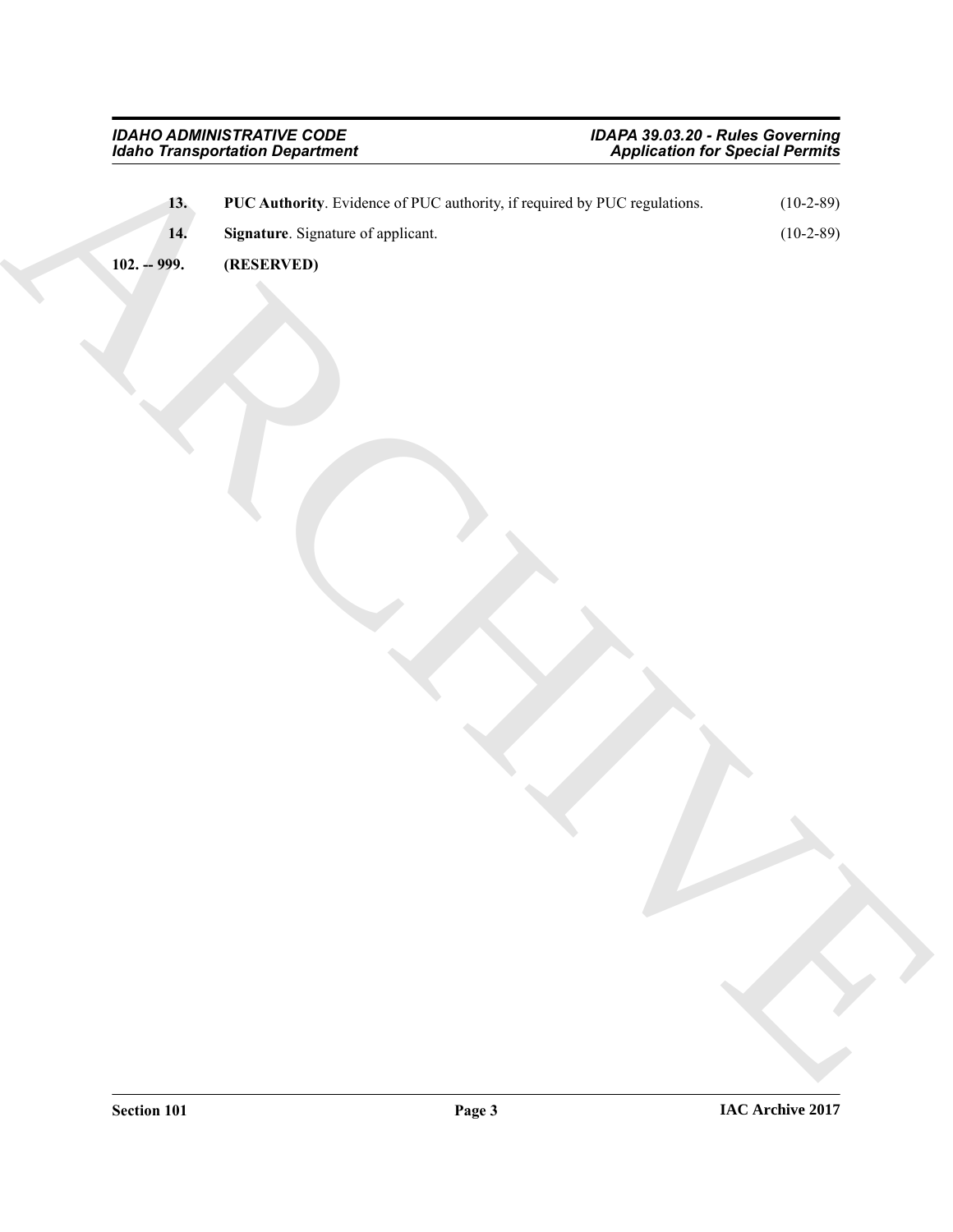<span id="page-2-2"></span><span id="page-2-1"></span><span id="page-2-0"></span>

|               | <b>Idaho Transportation Department</b>                                    | <b>Application for Special Permits</b> |             |
|---------------|---------------------------------------------------------------------------|----------------------------------------|-------------|
| 13.           | PUC Authority. Evidence of PUC authority, if required by PUC regulations. |                                        | $(10-2-89)$ |
| 14.           | Signature. Signature of applicant.                                        |                                        | $(10-2-89)$ |
| $102. - 999.$ | (RESERVED)                                                                |                                        |             |
|               |                                                                           |                                        |             |
|               |                                                                           |                                        |             |
|               |                                                                           |                                        |             |
|               |                                                                           |                                        |             |
|               |                                                                           |                                        |             |
|               |                                                                           |                                        |             |
|               |                                                                           |                                        |             |